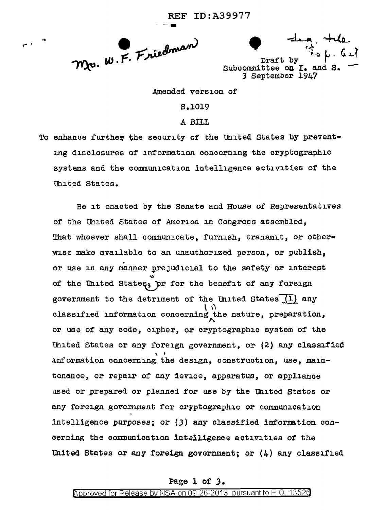Mr. W.F. Friedman

Draft by Subcommittee on I. and 3 September 1947

Amended version of

S.1019

A BILL

To enhance further the security of the United States by preventing disclosures of information concerning the cryptographic systems and the communication intelligence activities of the United States.

Be it enacted by the Senate and House of Representatives of the United States of America in Congress assembled, That whoever shall communicate, furnish, transmit, or otherwise make available to an unauthorized person, or publish, or use in any manner prejudicial to the safety or interest of the United States, pr for the benefit of any foreign government to the detriment of the United States  $(1)$  any classified information concerning the nature, preparation, or use of any code, cipher, or cryptographic system of the United States or any foreign government, or (2) any classified anformation concerning the design, construction, use, maintenance, or repair of any device, apparatus, or appliance used or prepared or planned for use by the United States or any foreign government for cryptographic or communication intelligence purposes; or (3) any classified information concerning the communication intelligence activities of the United States or any foreign government; or  $(4)$  any classified

## Page 1 of 3.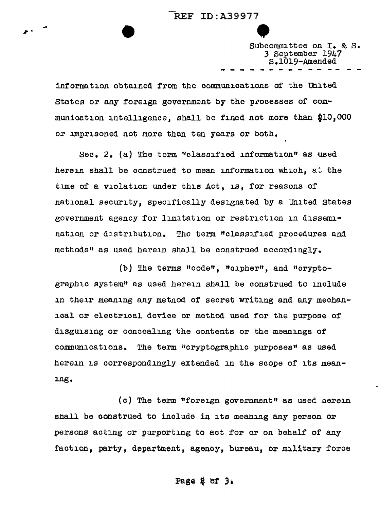... ,,,,..

Subcommittee on I. & S. *3* September 1947 s.1019-.Amended -------------

information obtained from the communications of the united States or any foreign government by the processes of communication intelligence, shall be fined not more than \$10,000 or imprisoned not more than ten years or both.

Sec. 2. (a) The term "classified information" as used herein shall be construed to mean information which, at the time of a violation under this Act, is, for reasons of national security, specifically designated by a United States government agency for limitation or restriction in dissemination or distribution. The term "classified procedures and methods" as used herein shall be construed accordingly.

(b) The terms "code", "cipher", and "cryptographic system" as used herein shall be construed to include in their meaning any metnod of secret writing and any mechanical or electrical device or method used for the purpose of disguising or concealing the contents or the meanings of communications. The term "cryptographic purposes" as used herein is correspondingly extended in the scope of its meaning.

(c) The term "foreign government" as used nerein shall be construed to include in its meaning any person or persons acting or purporting to act for or on behalf of any faction, party, department, agency, bureau, or military force

Page  $2$  of  $3$